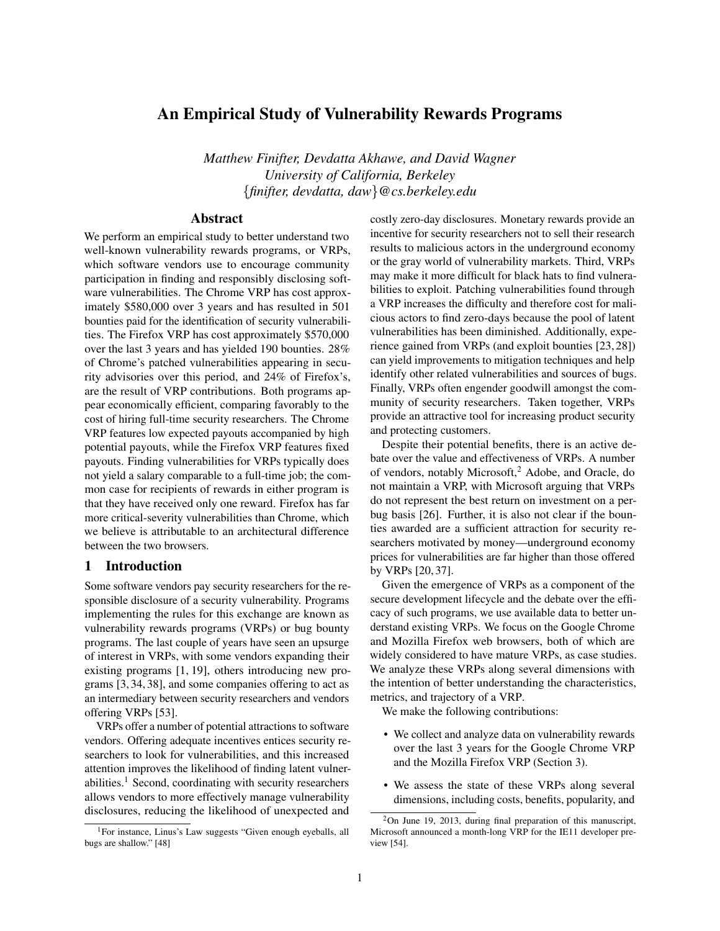# An Empirical Study of Vulnerability Rewards Programs

*Matthew Finifter, Devdatta Akhawe, and David Wagner University of California, Berkeley* \{ *finifter, devdatta, daw*\} *@cs.berkeley.edu*

## Abstract

We perform an empirical study to better understand two well-known vulnerability rewards programs, or VRPs, which software vendors use to encourage community participation in finding and responsibly disclosing software vulnerabilities. The Chrome VRP has cost approximately \$580,000 over 3 years and has resulted in 501 bounties paid for the identification of security vulnerabilities. The Firefox VRP has cost approximately \$570,000 over the last 3 years and has yielded 190 bounties. 28% of Chrome's patched vulnerabilities appearing in security advisories over this period, and 24% of Firefox's, are the result of VRP contributions. Both programs appear economically efficient, comparing favorably to the cost of hiring full-time security researchers. The Chrome VRP features low expected payouts accompanied by high potential payouts, while the Firefox VRP features fixed payouts. Finding vulnerabilities for VRPs typically does not yield a salary comparable to a full-time job; the common case for recipients of rewards in either program is that they have received only one reward. Firefox has far more critical-severity vulnerabilities than Chrome, which we believe is attributable to an architectural difference between the two browsers.

## 1 Introduction

Some software vendors pay security researchers for the responsible disclosure of a security vulnerability. Programs implementing the rules for this exchange are known as vulnerability rewards programs (VRPs) or bug bounty programs. The last couple of years have seen an upsurge of interest in VRPs, with some vendors expanding their existing programs [\[1,](#page-14-0) [19\]](#page-14-1), others introducing new programs [\[3,](#page-14-2) [34,](#page-15-0) [38\]](#page-15-1), and some companies offering to act as an intermediary between security researchers and vendors offering VRPs [\[53\]](#page-15-2).

VRPs offer a number of potential attractions to software vendors. Offering adequate incentives entices security researchers to look for vulnerabilities, and this increased attention improves the likelihood of finding latent vulner-abilities.<sup>[1](#page-0-0)</sup> Second, coordinating with security researchers allows vendors to more effectively manage vulnerability disclosures, reducing the likelihood of unexpected and

costly zero-day disclosures. Monetary rewards provide an incentive for security researchers not to sell their research results to malicious actors in the underground economy or the gray world of vulnerability markets. Third, VRPs may make it more difficult for black hats to find vulnerabilities to exploit. Patching vulnerabilities found through a VRP increases the difficulty and therefore cost for malicious actors to find zero-days because the pool of latent vulnerabilities has been diminished. Additionally, experience gained from VRPs (and exploit bounties [\[23,](#page-15-4) [28\]](#page-15-5)) can yield improvements to mitigation techniques and help identify other related vulnerabilities and sources of bugs. Finally, VRPs often engender goodwill amongst the community of security researchers. Taken together, VRPs provide an attractive tool for increasing product security and protecting customers.

Despite their potential benefits, there is an active debate over the value and effectiveness of VRPs. A number of vendors, notably Microsoft,[2](#page-0-1) Adobe, and Oracle, do not maintain a VRP, with Microsoft arguing that VRPs do not represent the best return on investment on a perbug basis [\[26\]](#page-15-6). Further, it is also not clear if the bounties awarded are a sufficient attraction for security researchers motivated by money—underground economy prices for vulnerabilities are far higher than those offered by VRPs [\[20,](#page-14-3) [37\]](#page-15-7).

Given the emergence of VRPs as a component of the secure development lifecycle and the debate over the efficacy of such programs, we use available data to better understand existing VRPs. We focus on the Google Chrome and Mozilla Firefox web browsers, both of which are widely considered to have mature VRPs, as case studies. We analyze these VRPs along several dimensions with the intention of better understanding the characteristics, metrics, and trajectory of a VRP.

We make the following contributions:

- We collect and analyze data on vulnerability rewards over the last 3 years for the Google Chrome VRP and the Mozilla Firefox VRP [\(Section 3\)](#page-2-0).
- We assess the state of these VRPs along several dimensions, including costs, benefits, popularity, and

<span id="page-0-0"></span><sup>1</sup>For instance, Linus's Law suggests "Given enough eyeballs, all bugs are shallow." [\[48\]](#page-15-3)

<span id="page-0-1"></span><sup>2</sup>On June 19, 2013, during final preparation of this manuscript, Microsoft announced a month-long VRP for the IE11 developer preview [\[54\]](#page-15-8).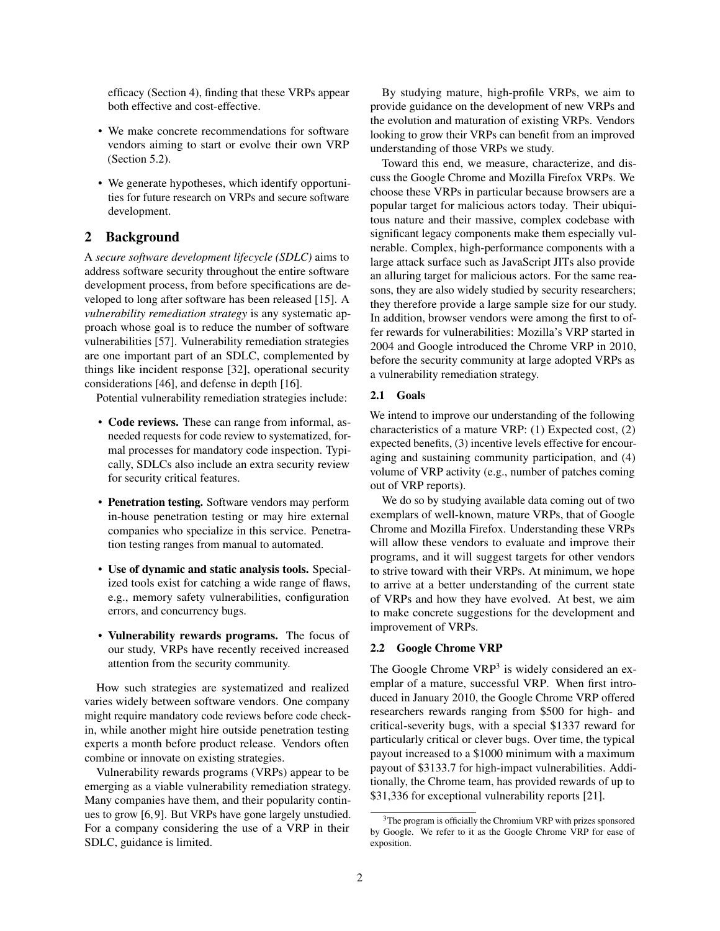efficacy [\(Section 4\)](#page-4-0), finding that these VRPs appear both effective and cost-effective.

- We make concrete recommendations for software vendors aiming to start or evolve their own VRP [\(Section 5.2\)](#page-13-0).
- We generate hypotheses, which identify opportunities for future research on VRPs and secure software development.

## 2 Background

A *secure software development lifecycle (SDLC)* aims to address software security throughout the entire software development process, from before specifications are developed to long after software has been released [\[15\]](#page-14-4). A *vulnerability remediation strategy* is any systematic approach whose goal is to reduce the number of software vulnerabilities [\[57\]](#page-15-9). Vulnerability remediation strategies are one important part of an SDLC, complemented by things like incident response [\[32\]](#page-15-10), operational security considerations [\[46\]](#page-15-11), and defense in depth [\[16\]](#page-14-5).

Potential vulnerability remediation strategies include:

- Code reviews. These can range from informal, asneeded requests for code review to systematized, formal processes for mandatory code inspection. Typically, SDLCs also include an extra security review for security critical features.
- Penetration testing. Software vendors may perform in-house penetration testing or may hire external companies who specialize in this service. Penetration testing ranges from manual to automated.
- Use of dynamic and static analysis tools. Specialized tools exist for catching a wide range of flaws, e.g., memory safety vulnerabilities, configuration errors, and concurrency bugs.
- Vulnerability rewards programs. The focus of our study, VRPs have recently received increased attention from the security community.

How such strategies are systematized and realized varies widely between software vendors. One company might require mandatory code reviews before code checkin, while another might hire outside penetration testing experts a month before product release. Vendors often combine or innovate on existing strategies.

Vulnerability rewards programs (VRPs) appear to be emerging as a viable vulnerability remediation strategy. Many companies have them, and their popularity continues to grow [\[6,](#page-14-6)[9\]](#page-14-7). But VRPs have gone largely unstudied. For a company considering the use of a VRP in their SDLC, guidance is limited.

By studying mature, high-profile VRPs, we aim to provide guidance on the development of new VRPs and the evolution and maturation of existing VRPs. Vendors looking to grow their VRPs can benefit from an improved understanding of those VRPs we study.

Toward this end, we measure, characterize, and discuss the Google Chrome and Mozilla Firefox VRPs. We choose these VRPs in particular because browsers are a popular target for malicious actors today. Their ubiquitous nature and their massive, complex codebase with significant legacy components make them especially vulnerable. Complex, high-performance components with a large attack surface such as JavaScript JITs also provide an alluring target for malicious actors. For the same reasons, they are also widely studied by security researchers; they therefore provide a large sample size for our study. In addition, browser vendors were among the first to offer rewards for vulnerabilities: Mozilla's VRP started in 2004 and Google introduced the Chrome VRP in 2010, before the security community at large adopted VRPs as a vulnerability remediation strategy.

#### 2.1 Goals

We intend to improve our understanding of the following characteristics of a mature VRP: (1) Expected cost, (2) expected benefits, (3) incentive levels effective for encouraging and sustaining community participation, and (4) volume of VRP activity (e.g., number of patches coming out of VRP reports).

We do so by studying available data coming out of two exemplars of well-known, mature VRPs, that of Google Chrome and Mozilla Firefox. Understanding these VRPs will allow these vendors to evaluate and improve their programs, and it will suggest targets for other vendors to strive toward with their VRPs. At minimum, we hope to arrive at a better understanding of the current state of VRPs and how they have evolved. At best, we aim to make concrete suggestions for the development and improvement of VRPs.

#### 2.2 Google Chrome VRP

The Google Chrome VRP<sup>[3](#page-1-0)</sup> is widely considered an exemplar of a mature, successful VRP. When first introduced in January 2010, the Google Chrome VRP offered researchers rewards ranging from \$500 for high- and critical-severity bugs, with a special \$1337 reward for particularly critical or clever bugs. Over time, the typical payout increased to a \$1000 minimum with a maximum payout of \$3133.7 for high-impact vulnerabilities. Additionally, the Chrome team, has provided rewards of up to \$31,336 for exceptional vulnerability reports [\[21\]](#page-15-12).

<span id="page-1-0"></span><sup>3</sup>The program is officially the Chromium VRP with prizes sponsored by Google. We refer to it as the Google Chrome VRP for ease of exposition.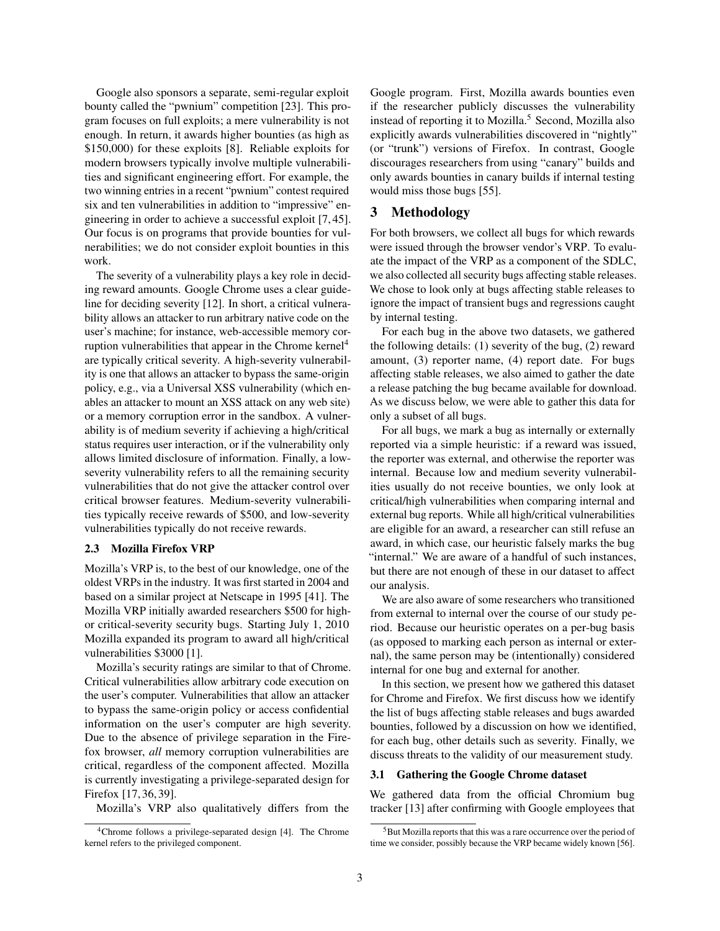Google also sponsors a separate, semi-regular exploit bounty called the "pwnium" competition [\[23\]](#page-15-4). This program focuses on full exploits; a mere vulnerability is not enough. In return, it awards higher bounties (as high as \$150,000) for these exploits [\[8\]](#page-14-8). Reliable exploits for modern browsers typically involve multiple vulnerabilities and significant engineering effort. For example, the two winning entries in a recent "pwnium" contest required six and ten vulnerabilities in addition to "impressive" engineering in order to achieve a successful exploit [\[7,](#page-14-9) [45\]](#page-15-13). Our focus is on programs that provide bounties for vulnerabilities; we do not consider exploit bounties in this work.

The severity of a vulnerability plays a key role in deciding reward amounts. Google Chrome uses a clear guideline for deciding severity [\[12\]](#page-14-10). In short, a critical vulnerability allows an attacker to run arbitrary native code on the user's machine; for instance, web-accessible memory cor-ruption vulnerabilities that appear in the Chrome kernel<sup>[4](#page-2-1)</sup> are typically critical severity. A high-severity vulnerability is one that allows an attacker to bypass the same-origin policy, e.g., via a Universal XSS vulnerability (which enables an attacker to mount an XSS attack on any web site) or a memory corruption error in the sandbox. A vulnerability is of medium severity if achieving a high/critical status requires user interaction, or if the vulnerability only allows limited disclosure of information. Finally, a lowseverity vulnerability refers to all the remaining security vulnerabilities that do not give the attacker control over critical browser features. Medium-severity vulnerabilities typically receive rewards of \$500, and low-severity vulnerabilities typically do not receive rewards.

#### 2.3 Mozilla Firefox VRP

Mozilla's VRP is, to the best of our knowledge, one of the oldest VRPs in the industry. It was first started in 2004 and based on a similar project at Netscape in 1995 [\[41\]](#page-15-14). The Mozilla VRP initially awarded researchers \$500 for highor critical-severity security bugs. Starting July 1, 2010 Mozilla expanded its program to award all high/critical vulnerabilities \$3000 [\[1\]](#page-14-0).

Mozilla's security ratings are similar to that of Chrome. Critical vulnerabilities allow arbitrary code execution on the user's computer. Vulnerabilities that allow an attacker to bypass the same-origin policy or access confidential information on the user's computer are high severity. Due to the absence of privilege separation in the Firefox browser, *all* memory corruption vulnerabilities are critical, regardless of the component affected. Mozilla is currently investigating a privilege-separated design for Firefox [\[17,](#page-14-11) [36,](#page-15-15) [39\]](#page-15-16).

Mozilla's VRP also qualitatively differs from the

Google program. First, Mozilla awards bounties even if the researcher publicly discusses the vulnerability instead of reporting it to Mozilla.<sup>[5](#page-2-2)</sup> Second, Mozilla also explicitly awards vulnerabilities discovered in "nightly" (or "trunk") versions of Firefox. In contrast, Google discourages researchers from using "canary" builds and only awards bounties in canary builds if internal testing would miss those bugs [\[55\]](#page-15-17).

## <span id="page-2-0"></span>3 Methodology

For both browsers, we collect all bugs for which rewards were issued through the browser vendor's VRP. To evaluate the impact of the VRP as a component of the SDLC, we also collected all security bugs affecting stable releases. We chose to look only at bugs affecting stable releases to ignore the impact of transient bugs and regressions caught by internal testing.

For each bug in the above two datasets, we gathered the following details: (1) severity of the bug, (2) reward amount, (3) reporter name, (4) report date. For bugs affecting stable releases, we also aimed to gather the date a release patching the bug became available for download. As we discuss below, we were able to gather this data for only a subset of all bugs.

For all bugs, we mark a bug as internally or externally reported via a simple heuristic: if a reward was issued, the reporter was external, and otherwise the reporter was internal. Because low and medium severity vulnerabilities usually do not receive bounties, we only look at critical/high vulnerabilities when comparing internal and external bug reports. While all high/critical vulnerabilities are eligible for an award, a researcher can still refuse an award, in which case, our heuristic falsely marks the bug "internal." We are aware of a handful of such instances, but there are not enough of these in our dataset to affect our analysis.

We are also aware of some researchers who transitioned from external to internal over the course of our study period. Because our heuristic operates on a per-bug basis (as opposed to marking each person as internal or external), the same person may be (intentionally) considered internal for one bug and external for another.

In this section, we present how we gathered this dataset for Chrome and Firefox. We first discuss how we identify the list of bugs affecting stable releases and bugs awarded bounties, followed by a discussion on how we identified, for each bug, other details such as severity. Finally, we discuss threats to the validity of our measurement study.

## 3.1 Gathering the Google Chrome dataset

We gathered data from the official Chromium bug tracker [\[13\]](#page-14-13) after confirming with Google employees that

<span id="page-2-1"></span><sup>4</sup>Chrome follows a privilege-separated design [\[4\]](#page-14-12). The Chrome kernel refers to the privileged component.

<span id="page-2-2"></span><sup>&</sup>lt;sup>5</sup>But Mozilla reports that this was a rare occurrence over the period of time we consider, possibly because the VRP became widely known [\[56\]](#page-15-18).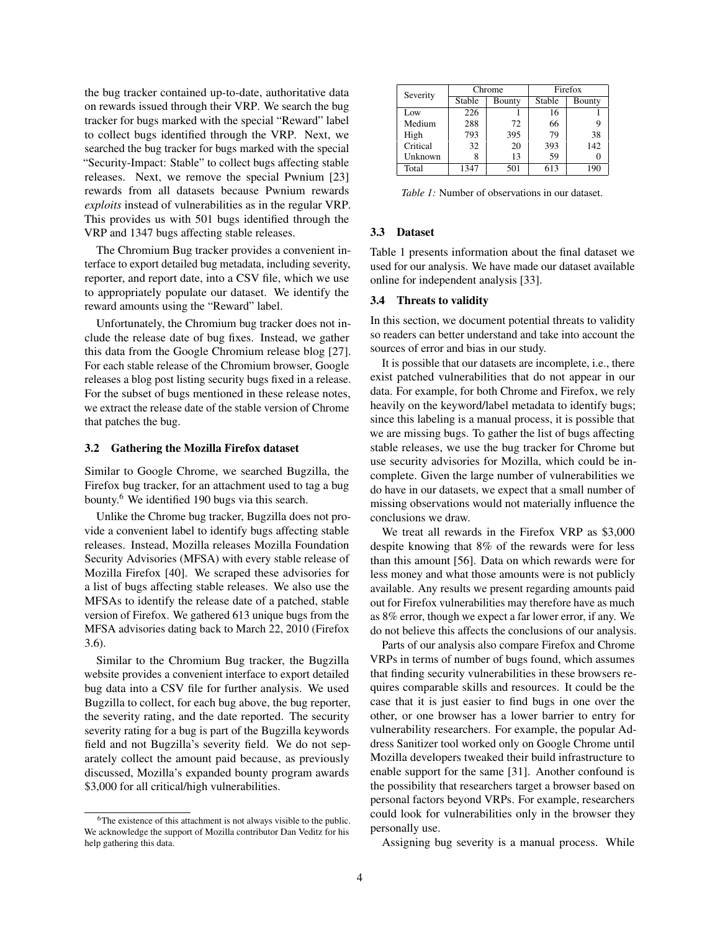the bug tracker contained up-to-date, authoritative data on rewards issued through their VRP. We search the bug tracker for bugs marked with the special "Reward" label to collect bugs identified through the VRP. Next, we searched the bug tracker for bugs marked with the special "Security-Impact: Stable" to collect bugs affecting stable releases. Next, we remove the special Pwnium [\[23\]](#page-15-4) rewards from all datasets because Pwnium rewards *exploits* instead of vulnerabilities as in the regular VRP. This provides us with 501 bugs identified through the VRP and 1347 bugs affecting stable releases.

The Chromium Bug tracker provides a convenient interface to export detailed bug metadata, including severity, reporter, and report date, into a CSV file, which we use to appropriately populate our dataset. We identify the reward amounts using the "Reward" label.

Unfortunately, the Chromium bug tracker does not include the release date of bug fixes. Instead, we gather this data from the Google Chromium release blog [\[27\]](#page-15-19). For each stable release of the Chromium browser, Google releases a blog post listing security bugs fixed in a release. For the subset of bugs mentioned in these release notes, we extract the release date of the stable version of Chrome that patches the bug.

#### 3.2 Gathering the Mozilla Firefox dataset

Similar to Google Chrome, we searched Bugzilla, the Firefox bug tracker, for an attachment used to tag a bug bounty.[6](#page-3-0) We identified 190 bugs via this search.

Unlike the Chrome bug tracker, Bugzilla does not provide a convenient label to identify bugs affecting stable releases. Instead, Mozilla releases Mozilla Foundation Security Advisories (MFSA) with every stable release of Mozilla Firefox [\[40\]](#page-15-20). We scraped these advisories for a list of bugs affecting stable releases. We also use the MFSAs to identify the release date of a patched, stable version of Firefox. We gathered 613 unique bugs from the MFSA advisories dating back to March 22, 2010 (Firefox 3.6).

Similar to the Chromium Bug tracker, the Bugzilla website provides a convenient interface to export detailed bug data into a CSV file for further analysis. We used Bugzilla to collect, for each bug above, the bug reporter, the severity rating, and the date reported. The security severity rating for a bug is part of the Bugzilla keywords field and not Bugzilla's severity field. We do not separately collect the amount paid because, as previously discussed, Mozilla's expanded bounty program awards \$3,000 for all critical/high vulnerabilities.

<span id="page-3-1"></span>

| Severity | Chrome |        | Firefox |               |
|----------|--------|--------|---------|---------------|
|          | Stable | Bounty | Stable  | <b>Bounty</b> |
| Low      | 226    |        | 16      |               |
| Medium   | 288    | 72     | 66      |               |
| High     | 793    | 395    | 79      | 38            |
| Critical | 32     | 20     | 393     | 142           |
| Unknown  |        | 13     | 59      |               |
| Total    | 1347   | 501    | 613     | 190           |

*Table 1:* Number of observations in our dataset.

## 3.3 Dataset

[Table 1](#page-3-1) presents information about the final dataset we used for our analysis. We have made our dataset available online for independent analysis [\[33\]](#page-15-21).

#### 3.4 Threats to validity

In this section, we document potential threats to validity so readers can better understand and take into account the sources of error and bias in our study.

It is possible that our datasets are incomplete, i.e., there exist patched vulnerabilities that do not appear in our data. For example, for both Chrome and Firefox, we rely heavily on the keyword/label metadata to identify bugs; since this labeling is a manual process, it is possible that we are missing bugs. To gather the list of bugs affecting stable releases, we use the bug tracker for Chrome but use security advisories for Mozilla, which could be incomplete. Given the large number of vulnerabilities we do have in our datasets, we expect that a small number of missing observations would not materially influence the conclusions we draw.

We treat all rewards in the Firefox VRP as \$3,000 despite knowing that 8% of the rewards were for less than this amount [\[56\]](#page-15-18). Data on which rewards were for less money and what those amounts were is not publicly available. Any results we present regarding amounts paid out for Firefox vulnerabilities may therefore have as much as 8% error, though we expect a far lower error, if any. We do not believe this affects the conclusions of our analysis.

Parts of our analysis also compare Firefox and Chrome VRPs in terms of number of bugs found, which assumes that finding security vulnerabilities in these browsers requires comparable skills and resources. It could be the case that it is just easier to find bugs in one over the other, or one browser has a lower barrier to entry for vulnerability researchers. For example, the popular Address Sanitizer tool worked only on Google Chrome until Mozilla developers tweaked their build infrastructure to enable support for the same [\[31\]](#page-15-22). Another confound is the possibility that researchers target a browser based on personal factors beyond VRPs. For example, researchers could look for vulnerabilities only in the browser they personally use.

Assigning bug severity is a manual process. While

<span id="page-3-0"></span><sup>&</sup>lt;sup>6</sup>The existence of this attachment is not always visible to the public. We acknowledge the support of Mozilla contributor Dan Veditz for his help gathering this data.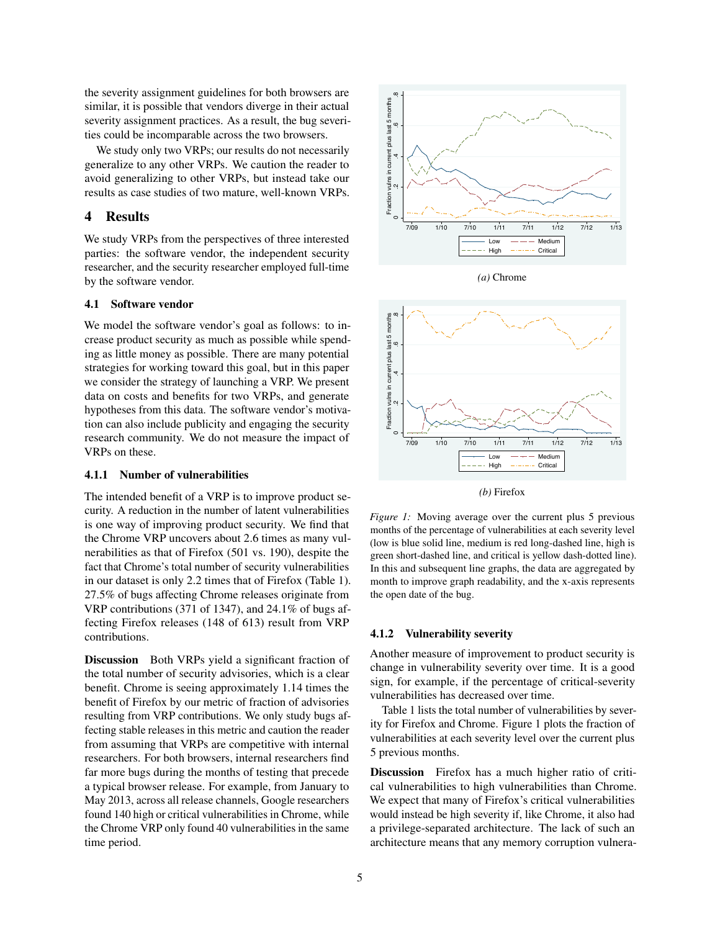the severity assignment guidelines for both browsers are similar, it is possible that vendors diverge in their actual severity assignment practices. As a result, the bug severities could be incomparable across the two browsers.

We study only two VRPs; our results do not necessarily generalize to any other VRPs. We caution the reader to avoid generalizing to other VRPs, but instead take our results as case studies of two mature, well-known VRPs.

## <span id="page-4-0"></span>4 Results

We study VRPs from the perspectives of three interested parties: the software vendor, the independent security researcher, and the security researcher employed full-time by the software vendor.

### 4.1 Software vendor

We model the software vendor's goal as follows: to increase product security as much as possible while spending as little money as possible. There are many potential strategies for working toward this goal, but in this paper we consider the strategy of launching a VRP. We present data on costs and benefits for two VRPs, and generate hypotheses from this data. The software vendor's motivation can also include publicity and engaging the security research community. We do not measure the impact of VRPs on these.

### <span id="page-4-2"></span>4.1.1 Number of vulnerabilities

The intended benefit of a VRP is to improve product security. A reduction in the number of latent vulnerabilities is one way of improving product security. We find that the Chrome VRP uncovers about 2.6 times as many vulnerabilities as that of Firefox (501 vs. 190), despite the fact that Chrome's total number of security vulnerabilities in our dataset is only 2.2 times that of Firefox [\(Table 1\)](#page-3-1). 27.5% of bugs affecting Chrome releases originate from VRP contributions (371 of 1347), and 24.1% of bugs affecting Firefox releases (148 of 613) result from VRP contributions.

Discussion Both VRPs yield a significant fraction of the total number of security advisories, which is a clear benefit. Chrome is seeing approximately 1.14 times the benefit of Firefox by our metric of fraction of advisories resulting from VRP contributions. We only study bugs affecting stable releases in this metric and caution the reader from assuming that VRPs are competitive with internal researchers. For both browsers, internal researchers find far more bugs during the months of testing that precede a typical browser release. For example, from January to May 2013, across all release channels, Google researchers found 140 high or critical vulnerabilities in Chrome, while the Chrome VRP only found 40 vulnerabilities in the same the setting assignment gundents for two two sets we have the setting and<br>similar, it is possible that vendors diverge in their actual<br>ties could be incomparable across the two browsers.<br>We study only two SVR's, our establ

<span id="page-4-1"></span>

*(a)* Chrome



*(b)* Firefox

*Figure 1:* Moving average over the current plus 5 previous months of the percentage of vulnerabilities at each severity level (low is blue solid line, medium is red long-dashed line, high is green short-dashed line, and critical is yellow dash-dotted line). In this and subsequent line graphs, the data are aggregated by month to improve graph readability, and the x-axis represents the open date of the bug.

## <span id="page-4-3"></span>4.1.2 Vulnerability severity

Another measure of improvement to product security is change in vulnerability severity over time. It is a good sign, for example, if the percentage of critical-severity vulnerabilities has decreased over time.

[Table 1](#page-3-1) lists the total number of vulnerabilities by severity for Firefox and Chrome. [Figure 1](#page-4-1) plots the fraction of vulnerabilities at each severity level over the current plus 5 previous months.

Discussion Firefox has a much higher ratio of critical vulnerabilities to high vulnerabilities than Chrome. We expect that many of Firefox's critical vulnerabilities would instead be high severity if, like Chrome, it also had a privilege-separated architecture. The lack of such an architecture means that any memory corruption vulnera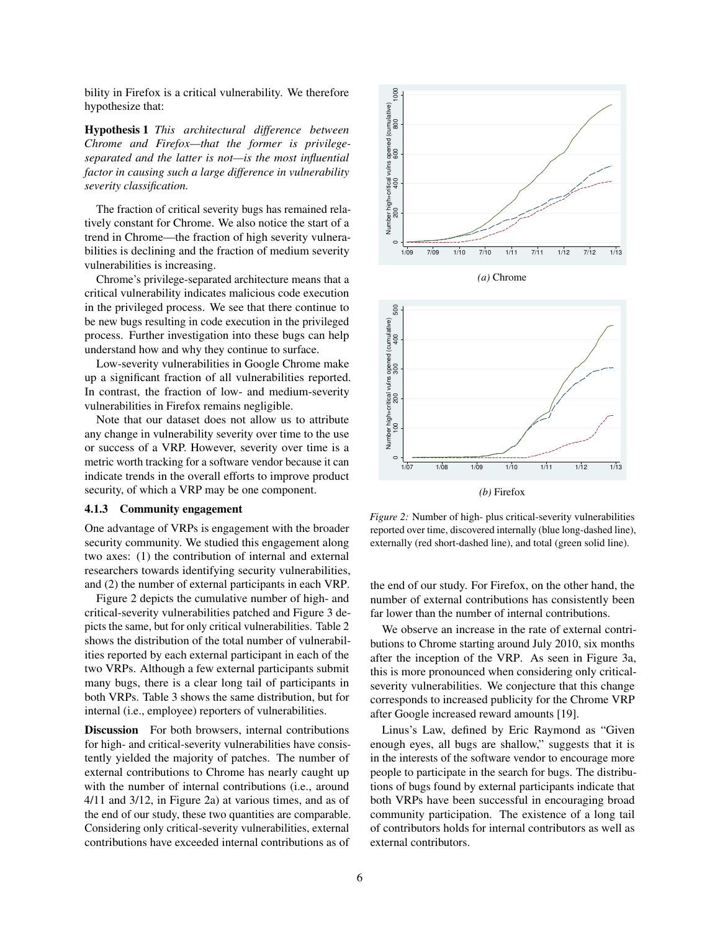bility in Firefox is a critical vulnerability. We therefore hypothesize that:

Hypothesis 1 *This architectural difference between Chrome and Firefox—that the former is privilegeseparated and the latter is not—is the most influential factor in causing such a large difference in vulnerability severity classification.*

The fraction of critical severity bugs has remained relatively constant for Chrome. We also notice the start of a trend in Chrome—the fraction of high severity vulnerabilities is declining and the fraction of medium severity vulnerabilities is increasing.

Chrome's privilege-separated architecture means that a critical vulnerability indicates malicious code execution in the privileged process. We see that there continue to be new bugs resulting in code execution in the privileged process. Further investigation into these bugs can help understand how and why they continue to surface.

Low-severity vulnerabilities in Google Chrome make up a significant fraction of all vulnerabilities reported. In contrast, the fraction of low- and medium-severity vulnerabilities in Firefox remains negligible.

Note that our dataset does not allow us to attribute any change in vulnerability severity over time to the use or success of a VRP. However, severity over time is a metric worth tracking for a software vendor because it can indicate trends in the overall efforts to improve product security, of which a VRP may be one component.

#### 4.1.3 Community engagement

One advantage of VRPs is engagement with the broader security community. We studied this engagement along two axes: (1) the contribution of internal and external researchers towards identifying security vulnerabilities, and (2) the number of external participants in each VRP.

[Figure 2](#page-5-0) depicts the cumulative number of high- and critical-severity vulnerabilities patched and [Figure 3](#page-6-0) depicts the same, but for only critical vulnerabilities. [Table 2](#page-6-1) shows the distribution of the total number of vulnerabilities reported by each external participant in each of the two VRPs. Although a few external participants submit many bugs, there is a clear long tail of participants in both VRPs. [Table 3](#page-6-2) shows the same distribution, but for internal (i.e., employee) reporters of vulnerabilities.

Discussion For both browsers, internal contributions for high- and critical-severity vulnerabilities have consistently yielded the majority of patches. The number of external contributions to Chrome has nearly caught up with the number of internal contributions (i.e., around 4/11 and 3/12, in Figure [2a\)](#page-5-0) at various times, and as of the end of our study, these two quantities are comparable. Considering only critical-severity vulnerabilities, external contributions have exceeded internal contributions as of

<span id="page-5-0"></span>

*(a)* Chrome



*Figure 2:* Number of high- plus critical-severity vulnerabilities reported over time, discovered internally (blue long-dashed line), externally (red short-dashed line), and total (green solid line).

the end of our study. For Firefox, on the other hand, the number of external contributions has consistently been far lower than the number of internal contributions.

We observe an increase in the rate of external contributions to Chrome starting around July 2010, six months after the inception of the VRP. As seen in Figure [3a,](#page-6-0) this is more pronounced when considering only criticalseverity vulnerabilities. We conjecture that this change corresponds to increased publicity for the Chrome VRP after Google increased reward amounts [\[19\]](#page-14-1).

Linus's Law, defined by Eric Raymond as "Given enough eyes, all bugs are shallow," suggests that it is in the interests of the software vendor to encourage more people to participate in the search for bugs. The distributions of bugs found by external participants indicate that both VRPs have been successful in encouraging broad community participation. The existence of a long tail of contributors holds for internal contributors as well as external contributors.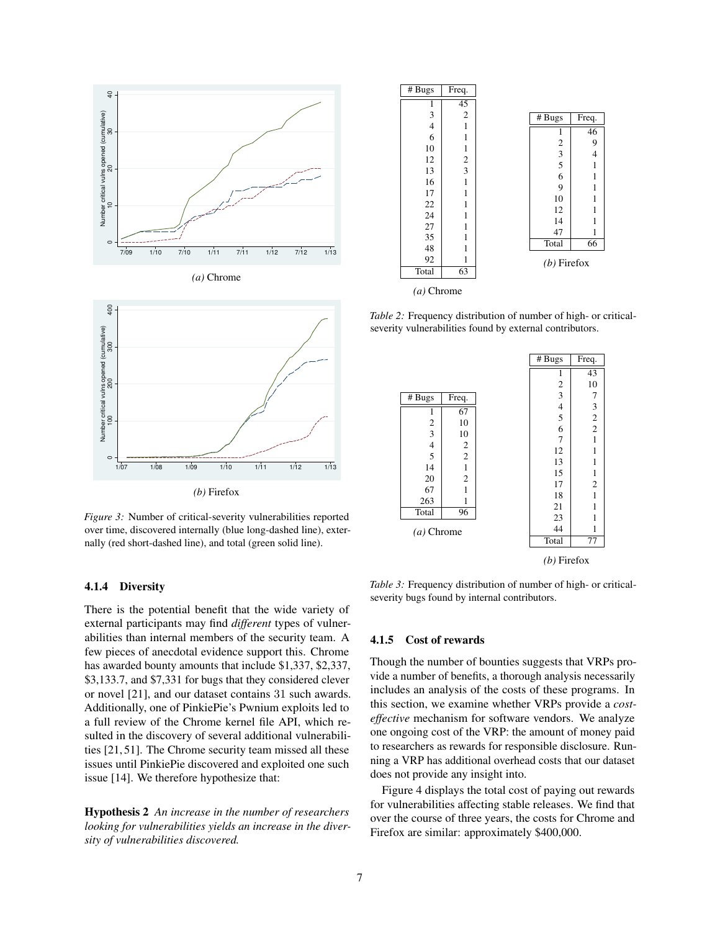<span id="page-6-0"></span>



*Figure 3:* Number of critical-severity vulnerabilities reported over time, discovered internally (blue long-dashed line), externally (red short-dashed line), and total (green solid line).

## 4.1.4 Diversity

There is the potential benefit that the wide variety of external participants may find *different* types of vulnerabilities than internal members of the security team. A few pieces of anecdotal evidence support this. Chrome has awarded bounty amounts that include \$1,337, \$2,337, \$3,133.7, and \$7,331 for bugs that they considered clever or novel [\[21\]](#page-15-12), and our dataset contains 31 such awards. Additionally, one of PinkiePie's Pwnium exploits led to a full review of the Chrome kernel file API, which resulted in the discovery of several additional vulnerabilities [\[21,](#page-15-12) [51\]](#page-15-23). The Chrome security team missed all these issues until PinkiePie discovered and exploited one such issue [\[14\]](#page-14-14). We therefore hypothesize that:

Hypothesis 2 *An increase in the number of researchers looking for vulnerabilities yields an increase in the diversity of vulnerabilities discovered.*

<span id="page-6-1"></span>

*Table 2:* Frequency distribution of number of high- or criticalseverity vulnerabilities found by external contributors.

<span id="page-6-2"></span>

*(b)* Firefox

*Table 3:* Frequency distribution of number of high- or criticalseverity bugs found by internal contributors.

### 4.1.5 Cost of rewards

Though the number of bounties suggests that VRPs provide a number of benefits, a thorough analysis necessarily includes an analysis of the costs of these programs. In this section, we examine whether VRPs provide a *costeffective* mechanism for software vendors. We analyze one ongoing cost of the VRP: the amount of money paid to researchers as rewards for responsible disclosure. Running a VRP has additional overhead costs that our dataset does not provide any insight into.

[Figure 4](#page-7-0) displays the total cost of paying out rewards for vulnerabilities affecting stable releases. We find that over the course of three years, the costs for Chrome and Firefox are similar: approximately \$400,000.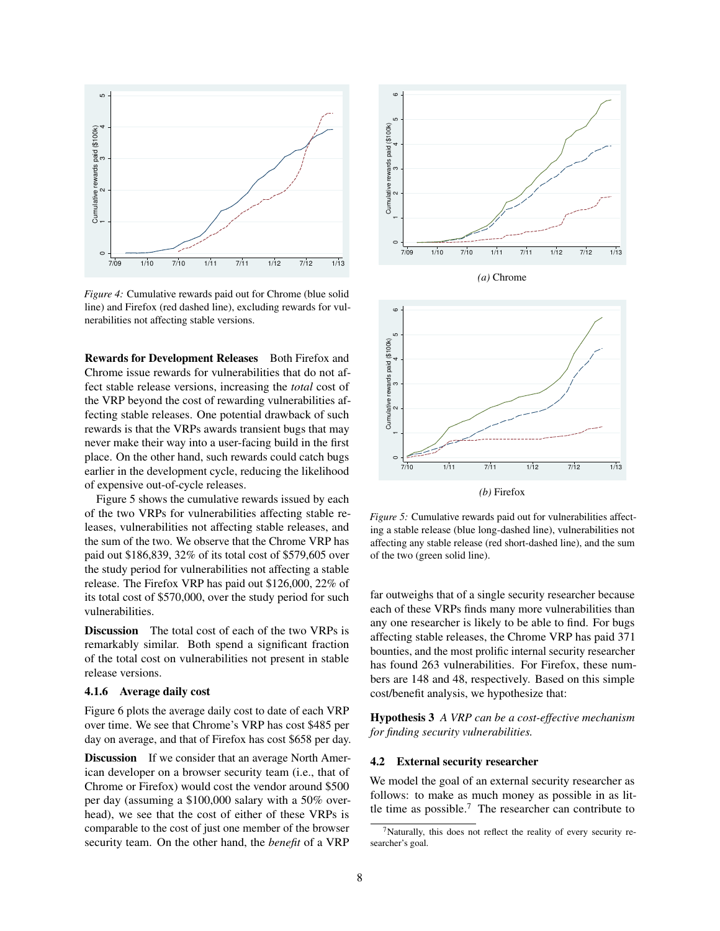<span id="page-7-0"></span>

*Figure 4:* Cumulative rewards paid out for Chrome (blue solid line) and Firefox (red dashed line), excluding rewards for vulnerabilities not affecting stable versions.

Rewards for Development Releases Both Firefox and Chrome issue rewards for vulnerabilities that do not affect stable release versions, increasing the *total* cost of the VRP beyond the cost of rewarding vulnerabilities affecting stable releases. One potential drawback of such rewards is that the VRPs awards transient bugs that may never make their way into a user-facing build in the first place. On the other hand, such rewards could catch bugs earlier in the development cycle, reducing the likelihood of expensive out-of-cycle releases.

[Figure 5](#page-7-1) shows the cumulative rewards issued by each of the two VRPs for vulnerabilities affecting stable releases, vulnerabilities not affecting stable releases, and the sum of the two. We observe that the Chrome VRP has paid out \$186,839, 32% of its total cost of \$579,605 over the study period for vulnerabilities not affecting a stable release. The Firefox VRP has paid out \$126,000, 22% of its total cost of \$570,000, over the study period for such vulnerabilities.

Discussion The total cost of each of the two VRPs is remarkably similar. Both spend a significant fraction of the total cost on vulnerabilities not present in stable release versions.

#### <span id="page-7-3"></span>4.1.6 Average daily cost

[Figure 6](#page-8-0) plots the average daily cost to date of each VRP over time. We see that Chrome's VRP has cost \$485 per day on average, and that of Firefox has cost \$658 per day.

**Discussion** If we consider that an average North American developer on a browser security team (i.e., that of Chrome or Firefox) would cost the vendor around \$500 per day (assuming a \$100,000 salary with a 50% overhead), we see that the cost of either of these VRPs is comparable to the cost of just one member of the browser security team. On the other hand, the *benefit* of a VRP

<span id="page-7-1"></span>

*(a)* Chrome



*Figure 5:* Cumulative rewards paid out for vulnerabilities affecting a stable release (blue long-dashed line), vulnerabilities not affecting any stable release (red short-dashed line), and the sum of the two (green solid line).

far outweighs that of a single security researcher because each of these VRPs finds many more vulnerabilities than any one researcher is likely to be able to find. For bugs affecting stable releases, the Chrome VRP has paid 371 bounties, and the most prolific internal security researcher has found 263 vulnerabilities. For Firefox, these numbers are 148 and 48, respectively. Based on this simple cost/benefit analysis, we hypothesize that:

Hypothesis 3 *A VRP can be a cost-effective mechanism for finding security vulnerabilities.*

#### 4.2 External security researcher

We model the goal of an external security researcher as follows: to make as much money as possible in as little time as possible. $7$  The researcher can contribute to

<span id="page-7-2"></span> $<sup>7</sup>$ Naturally, this does not reflect the reality of every security re-</sup> searcher's goal.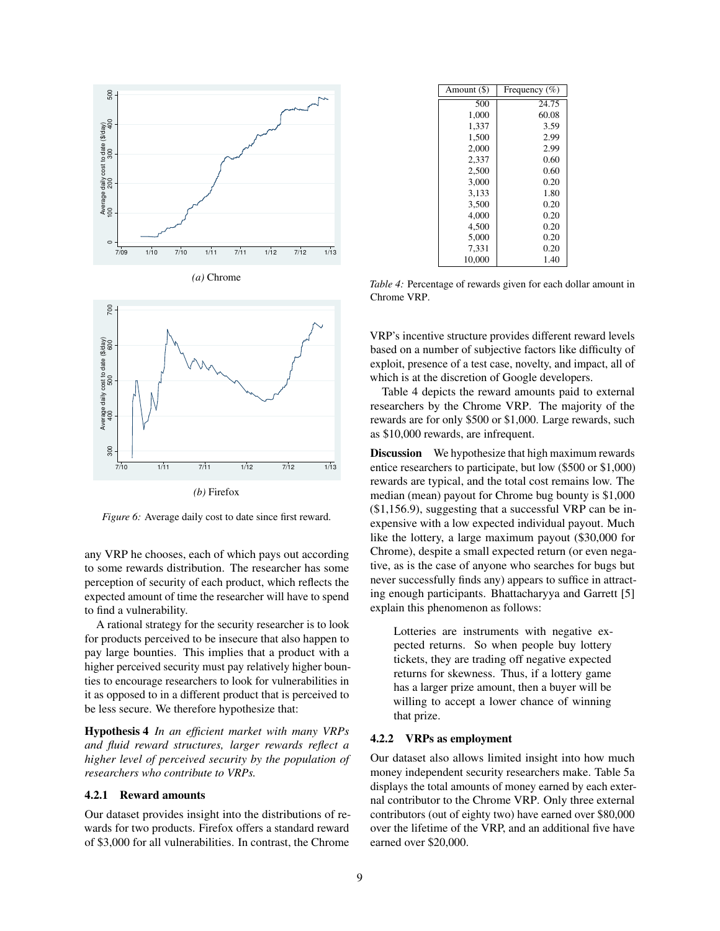<span id="page-8-0"></span>





*Figure 6:* Average daily cost to date since first reward.

any VRP he chooses, each of which pays out according to some rewards distribution. The researcher has some perception of security of each product, which reflects the expected amount of time the researcher will have to spend to find a vulnerability.

A rational strategy for the security researcher is to look for products perceived to be insecure that also happen to pay large bounties. This implies that a product with a higher perceived security must pay relatively higher bounties to encourage researchers to look for vulnerabilities in it as opposed to in a different product that is perceived to be less secure. We therefore hypothesize that:

Hypothesis 4 *In an efficient market with many VRPs and fluid reward structures, larger rewards reflect a higher level of perceived security by the population of researchers who contribute to VRPs.*

### <span id="page-8-2"></span>4.2.1 Reward amounts

Our dataset provides insight into the distributions of rewards for two products. Firefox offers a standard reward of \$3,000 for all vulnerabilities. In contrast, the Chrome

<span id="page-8-1"></span>

| Amount (\$) | Frequency $(\% )$ |
|-------------|-------------------|
| 500         | 24.75             |
| 1.000       | 60.08             |
| 1.337       | 3.59              |
| 1,500       | 2.99              |
| 2,000       | 2.99              |
| 2.337       | 0.60              |
| 2,500       | 0.60              |
| 3.000       | 0.20              |
| 3.133       | 1.80              |
| 3.500       | 0.20              |
| 4.000       | 0.20              |
| 4.500       | 0.20              |
| 5.000       | 0.20              |
| 7,331       | 0.20              |
| 10,000      | 1.40              |

*Table 4:* Percentage of rewards given for each dollar amount in Chrome VRP.

VRP's incentive structure provides different reward levels based on a number of subjective factors like difficulty of exploit, presence of a test case, novelty, and impact, all of which is at the discretion of Google developers.

[Table 4](#page-8-1) depicts the reward amounts paid to external researchers by the Chrome VRP. The majority of the rewards are for only \$500 or \$1,000. Large rewards, such as \$10,000 rewards, are infrequent.

Discussion We hypothesize that high maximum rewards entice researchers to participate, but low (\$500 or \$1,000) rewards are typical, and the total cost remains low. The median (mean) payout for Chrome bug bounty is \$1,000 (\$1,156.9), suggesting that a successful VRP can be inexpensive with a low expected individual payout. Much like the lottery, a large maximum payout (\$30,000 for Chrome), despite a small expected return (or even negative, as is the case of anyone who searches for bugs but never successfully finds any) appears to suffice in attracting enough participants. Bhattacharyya and Garrett [\[5\]](#page-14-15) explain this phenomenon as follows:

Lotteries are instruments with negative expected returns. So when people buy lottery tickets, they are trading off negative expected returns for skewness. Thus, if a lottery game has a larger prize amount, then a buyer will be willing to accept a lower chance of winning that prize.

### 4.2.2 VRPs as employment

Our dataset also allows limited insight into how much money independent security researchers make. [Table 5a](#page-9-0) displays the total amounts of money earned by each external contributor to the Chrome VRP. Only three external contributors (out of eighty two) have earned over \$80,000 over the lifetime of the VRP, and an additional five have earned over \$20,000.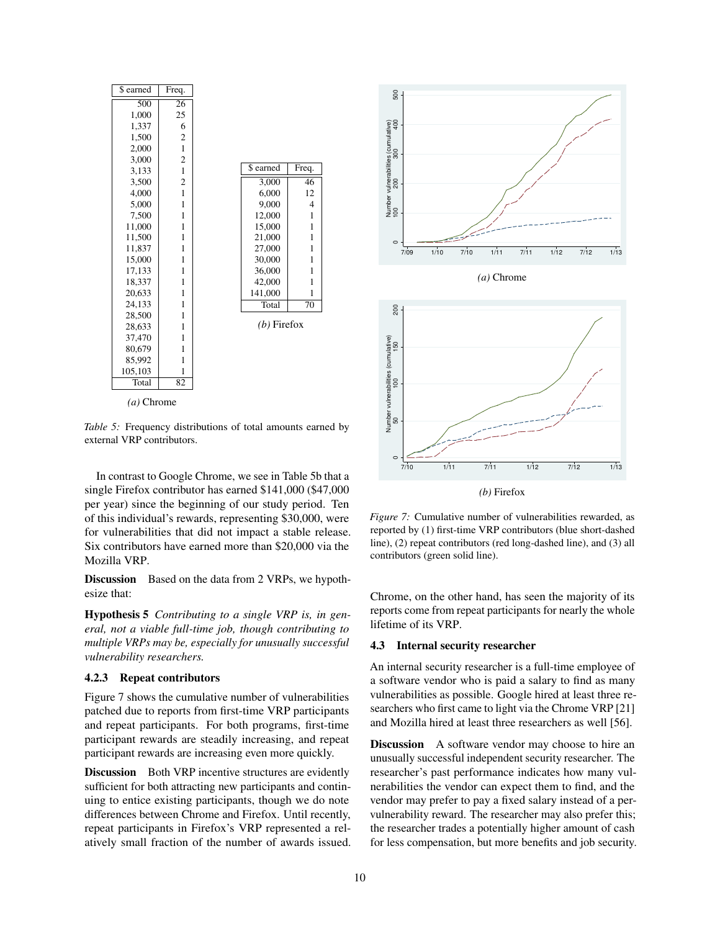<span id="page-9-0"></span>

| \$ earned    | Freq.                   |               |                |
|--------------|-------------------------|---------------|----------------|
| 500          | 26                      |               |                |
| 1,000        | 25                      |               |                |
| 1,337        | 6                       |               |                |
| 1,500        | $\overline{\mathbf{c}}$ |               |                |
| 2,000        | $\mathbf{1}$            |               |                |
| 3,000        | $\overline{\mathbf{c}}$ |               |                |
| 3,133        | $\mathbf{1}$            | \$ earned     | Freq.          |
| 3,500        | $\overline{\mathbf{c}}$ | 3,000         | 46             |
| 4,000        | $\mathbf{1}$            | 6,000         | 12             |
| 5,000        | $\mathbf{1}$            | 9,000         | $\overline{4}$ |
| 7,500        | $\mathbf{1}$            | 12,000        | $\mathbf{1}$   |
| 11,000       | 1                       | 15,000        | $\mathbf{1}$   |
| 11,500       | 1                       | 21,000        | $\mathbf{1}$   |
| 11,837       | 1                       | 27,000        | $\mathbf{1}$   |
| 15,000       | 1                       | 30,000        | $\mathbf{1}$   |
| 17,133       | 1                       | 36,000        | $\mathbf{1}$   |
| 18,337       | $\mathbf{1}$            | 42,000        | $\mathbf{1}$   |
| 20,633       | 1                       | 141,000       | $\mathbf{1}$   |
| 24,133       | 1                       | Total         | 70             |
| 28,500       | $\mathbf{1}$            |               |                |
| 28,633       | 1                       | $(b)$ Firefox |                |
| 37,470       | 1                       |               |                |
| 80,679       | 1                       |               |                |
| 85,992       | 1                       |               |                |
| 105,103      | 1                       |               |                |
| Total        | 82                      |               |                |
| $(a)$ Chrome |                         |               |                |

*Table 5:* Frequency distributions of total amounts earned by external VRP contributors.

In contrast to Google Chrome, we see in [Table 5b](#page-9-0) that a single Firefox contributor has earned \$141,000 (\$47,000 per year) since the beginning of our study period. Ten of this individual's rewards, representing \$30,000, were for vulnerabilities that did not impact a stable release. Six contributors have earned more than \$20,000 via the Mozilla VRP.

Discussion Based on the data from 2 VRPs, we hypothesize that:

Hypothesis 5 *Contributing to a single VRP is, in general, not a viable full-time job, though contributing to multiple VRPs may be, especially for unusually successful vulnerability researchers.*

#### 4.2.3 Repeat contributors

[Figure 7](#page-9-1) shows the cumulative number of vulnerabilities patched due to reports from first-time VRP participants and repeat participants. For both programs, first-time participant rewards are steadily increasing, and repeat participant rewards are increasing even more quickly.

Discussion Both VRP incentive structures are evidently sufficient for both attracting new participants and continuing to entice existing participants, though we do note differences between Chrome and Firefox. Until recently, repeat participants in Firefox's VRP represented a relatively small fraction of the number of awards issued.

<span id="page-9-1"></span>



*Figure 7:* Cumulative number of vulnerabilities rewarded, as reported by (1) first-time VRP contributors (blue short-dashed line), (2) repeat contributors (red long-dashed line), and (3) all contributors (green solid line).

Chrome, on the other hand, has seen the majority of its reports come from repeat participants for nearly the whole lifetime of its VRP.

## 4.3 Internal security researcher

An internal security researcher is a full-time employee of a software vendor who is paid a salary to find as many vulnerabilities as possible. Google hired at least three researchers who first came to light via the Chrome VRP [\[21\]](#page-15-12) and Mozilla hired at least three researchers as well [\[56\]](#page-15-18).

Discussion A software vendor may choose to hire an unusually successful independent security researcher. The researcher's past performance indicates how many vulnerabilities the vendor can expect them to find, and the vendor may prefer to pay a fixed salary instead of a pervulnerability reward. The researcher may also prefer this; the researcher trades a potentially higher amount of cash for less compensation, but more benefits and job security.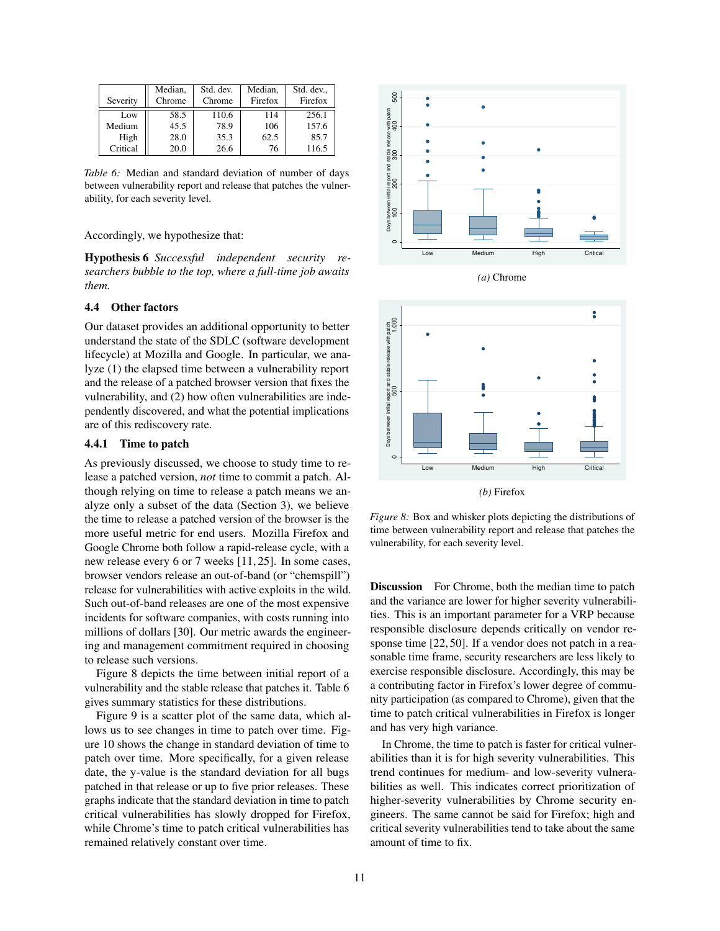<span id="page-10-1"></span>

|          | Median. | Std. dev. | Median. | Std. dev |
|----------|---------|-----------|---------|----------|
| Severity | Chrome  | Chrome    | Firefox | Firefox  |
| Low      | 58.5    | 110.6     | 114     | 256.1    |
| Medium   | 45.5    | 78.9      | 106     | 157.6    |
| High     | 28.0    | 35.3      | 62.5    | 85.7     |
| Critical | 20.0    | 26.6      | 76      | 116.5    |

*Table 6:* Median and standard deviation of number of days between vulnerability report and release that patches the vulnerability, for each severity level.

## Accordingly, we hypothesize that:

Hypothesis 6 *Successful independent security researchers bubble to the top, where a full-time job awaits them.*

## 4.4 Other factors

Our dataset provides an additional opportunity to better understand the state of the SDLC (software development lifecycle) at Mozilla and Google. In particular, we analyze (1) the elapsed time between a vulnerability report and the release of a patched browser version that fixes the vulnerability, and (2) how often vulnerabilities are independently discovered, and what the potential implications are of this rediscovery rate.

## <span id="page-10-2"></span>4.4.1 Time to patch

As previously discussed, we choose to study time to release a patched version, *not* time to commit a patch. Although relying on time to release a patch means we analyze only a subset of the data [\(Section 3\)](#page-2-0), we believe the time to release a patched version of the browser is the more useful metric for end users. Mozilla Firefox and Google Chrome both follow a rapid-release cycle, with a new release every 6 or 7 weeks [\[11,](#page-14-16) [25\]](#page-15-24). In some cases, browser vendors release an out-of-band (or "chemspill") release for vulnerabilities with active exploits in the wild. Such out-of-band releases are one of the most expensive incidents for software companies, with costs running into millions of dollars [\[30\]](#page-15-25). Our metric awards the engineering and management commitment required in choosing to release such versions.

[Figure 8](#page-10-0) depicts the time between initial report of a vulnerability and the stable release that patches it. [Table 6](#page-10-1) gives summary statistics for these distributions.

[Figure 9](#page-11-0) is a scatter plot of the same data, which allows us to see changes in time to patch over time. [Fig](#page-11-1)[ure 10](#page-11-1) shows the change in standard deviation of time to patch over time. More specifically, for a given release date, the y-value is the standard deviation for all bugs patched in that release or up to five prior releases. These graphs indicate that the standard deviation in time to patch critical vulnerabilities has slowly dropped for Firefox, while Chrome's time to patch critical vulnerabilities has remained relatively constant over time.

<span id="page-10-0"></span>

*(a)* Chrome



*Figure 8:* Box and whisker plots depicting the distributions of time between vulnerability report and release that patches the vulnerability, for each severity level.

Discussion For Chrome, both the median time to patch and the variance are lower for higher severity vulnerabilities. This is an important parameter for a VRP because responsible disclosure depends critically on vendor response time [\[22,](#page-15-26) [50\]](#page-15-27). If a vendor does not patch in a reasonable time frame, security researchers are less likely to exercise responsible disclosure. Accordingly, this may be a contributing factor in Firefox's lower degree of community participation (as compared to Chrome), given that the time to patch critical vulnerabilities in Firefox is longer and has very high variance.

In Chrome, the time to patch is faster for critical vulnerabilities than it is for high severity vulnerabilities. This trend continues for medium- and low-severity vulnerabilities as well. This indicates correct prioritization of higher-severity vulnerabilities by Chrome security engineers. The same cannot be said for Firefox; high and critical severity vulnerabilities tend to take about the same amount of time to fix.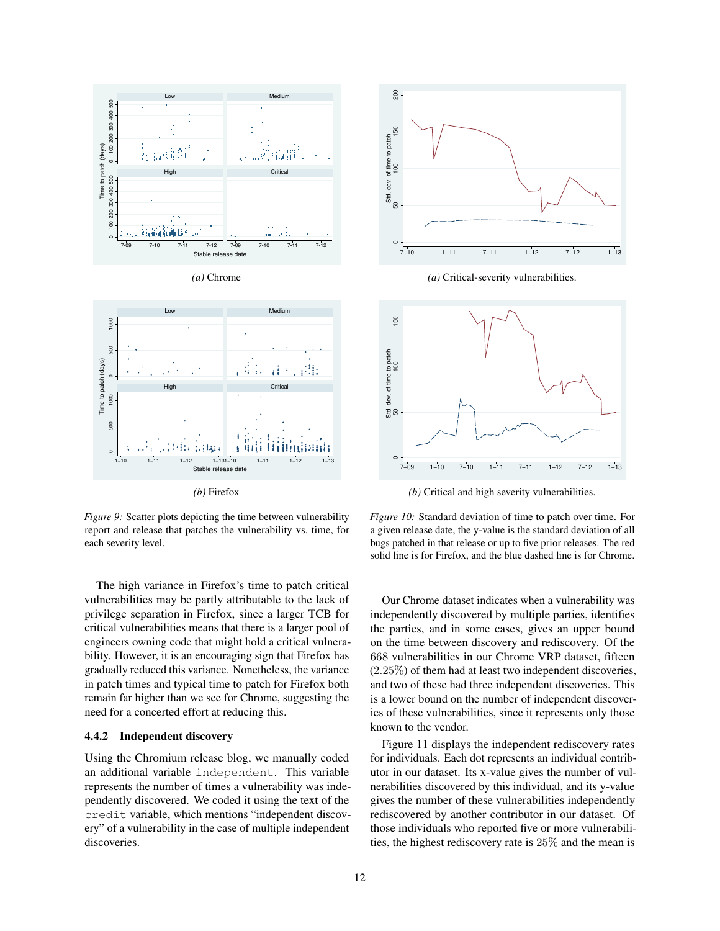<span id="page-11-0"></span>

*(b)* Firefox

*Figure 9:* Scatter plots depicting the time between vulnerability report and release that patches the vulnerability vs. time, for each severity level.

The high variance in Firefox's time to patch critical vulnerabilities may be partly attributable to the lack of privilege separation in Firefox, since a larger TCB for critical vulnerabilities means that there is a larger pool of engineers owning code that might hold a critical vulnerability. However, it is an encouraging sign that Firefox has gradually reduced this variance. Nonetheless, the variance in patch times and typical time to patch for Firefox both remain far higher than we see for Chrome, suggesting the need for a concerted effort at reducing this.

## 4.4.2 Independent discovery

Using the Chromium release blog, we manually coded an additional variable independent. This variable represents the number of times a vulnerability was independently discovered. We coded it using the text of the credit variable, which mentions "independent discovery" of a vulnerability in the case of multiple independent discoveries.

<span id="page-11-1"></span>

*(a)* Critical-severity vulnerabilities.



*(b)* Critical and high severity vulnerabilities.

*Figure 10:* Standard deviation of time to patch over time. For a given release date, the y-value is the standard deviation of all bugs patched in that release or up to five prior releases. The red solid line is for Firefox, and the blue dashed line is for Chrome.

Our Chrome dataset indicates when a vulnerability was independently discovered by multiple parties, identifies the parties, and in some cases, gives an upper bound on the time between discovery and rediscovery. Of the 668 vulnerabilities in our Chrome VRP dataset, fifteen  $(2.25\%)$  of them had at least two independent discoveries, and two of these had three independent discoveries. This is a lower bound on the number of independent discoveries of these vulnerabilities, since it represents only those known to the vendor.

[Figure 11](#page-12-0) displays the independent rediscovery rates for individuals. Each dot represents an individual contributor in our dataset. Its x-value gives the number of vulnerabilities discovered by this individual, and its y-value gives the number of these vulnerabilities independently rediscovered by another contributor in our dataset. Of those individuals who reported five or more vulnerabilities, the highest rediscovery rate is  $25\%$  and the mean is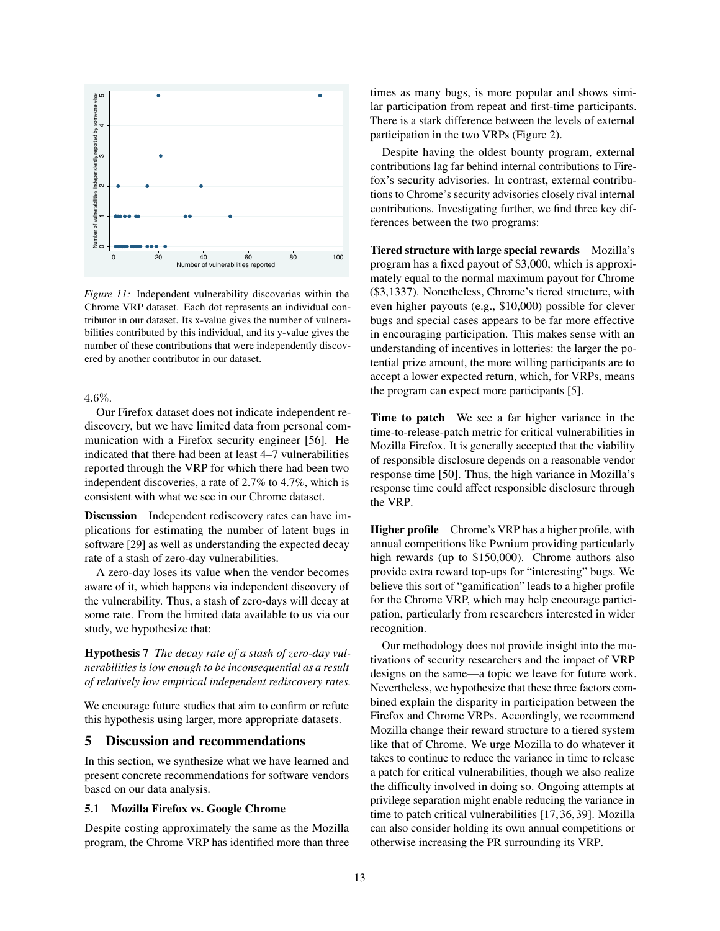<span id="page-12-0"></span>

*Figure 11:* Independent vulnerability discoveries within the Chrome VRP dataset. Each dot represents an individual contributor in our dataset. Its x-value gives the number of vulnerabilities contributed by this individual, and its y-value gives the number of these contributions that were independently discovered by another contributor in our dataset.

#### $4.6\%$ .

Our Firefox dataset does not indicate independent rediscovery, but we have limited data from personal communication with a Firefox security engineer [\[56\]](#page-15-18). He indicated that there had been at least 4–7 vulnerabilities reported through the VRP for which there had been two independent discoveries, a rate of 2.7% to 4.7%, which is consistent with what we see in our Chrome dataset.

Discussion Independent rediscovery rates can have implications for estimating the number of latent bugs in software [\[29\]](#page-15-28) as well as understanding the expected decay rate of a stash of zero-day vulnerabilities.

A zero-day loses its value when the vendor becomes aware of it, which happens via independent discovery of the vulnerability. Thus, a stash of zero-days will decay at some rate. From the limited data available to us via our study, we hypothesize that:

Hypothesis 7 *The decay rate of a stash of zero-day vulnerabilities is low enough to be inconsequential as a result of relatively low empirical independent rediscovery rates.*

We encourage future studies that aim to confirm or refute this hypothesis using larger, more appropriate datasets.

### 5 Discussion and recommendations

In this section, we synthesize what we have learned and present concrete recommendations for software vendors based on our data analysis.

## 5.1 Mozilla Firefox vs. Google Chrome

Despite costing approximately the same as the Mozilla program, the Chrome VRP has identified more than three times as many bugs, is more popular and shows similar participation from repeat and first-time participants. There is a stark difference between the levels of external participation in the two VRPs [\(Figure 2\)](#page-5-0).

Despite having the oldest bounty program, external contributions lag far behind internal contributions to Firefox's security advisories. In contrast, external contributions to Chrome's security advisories closely rival internal contributions. Investigating further, we find three key differences between the two programs:

Tiered structure with large special rewards Mozilla's program has a fixed payout of \$3,000, which is approximately equal to the normal maximum payout for Chrome (\$3,1337). Nonetheless, Chrome's tiered structure, with even higher payouts (e.g., \$10,000) possible for clever bugs and special cases appears to be far more effective in encouraging participation. This makes sense with an understanding of incentives in lotteries: the larger the potential prize amount, the more willing participants are to accept a lower expected return, which, for VRPs, means the program can expect more participants [\[5\]](#page-14-15).

Time to patch We see a far higher variance in the time-to-release-patch metric for critical vulnerabilities in Mozilla Firefox. It is generally accepted that the viability of responsible disclosure depends on a reasonable vendor response time [\[50\]](#page-15-27). Thus, the high variance in Mozilla's response time could affect responsible disclosure through the VRP.

Higher profile Chrome's VRP has a higher profile, with annual competitions like Pwnium providing particularly high rewards (up to \$150,000). Chrome authors also provide extra reward top-ups for "interesting" bugs. We believe this sort of "gamification" leads to a higher profile for the Chrome VRP, which may help encourage participation, particularly from researchers interested in wider recognition.

Our methodology does not provide insight into the motivations of security researchers and the impact of VRP designs on the same—a topic we leave for future work. Nevertheless, we hypothesize that these three factors combined explain the disparity in participation between the Firefox and Chrome VRPs. Accordingly, we recommend Mozilla change their reward structure to a tiered system like that of Chrome. We urge Mozilla to do whatever it takes to continue to reduce the variance in time to release a patch for critical vulnerabilities, though we also realize the difficulty involved in doing so. Ongoing attempts at privilege separation might enable reducing the variance in time to patch critical vulnerabilities [\[17,](#page-14-11) [36,](#page-15-15) [39\]](#page-15-16). Mozilla can also consider holding its own annual competitions or otherwise increasing the PR surrounding its VRP.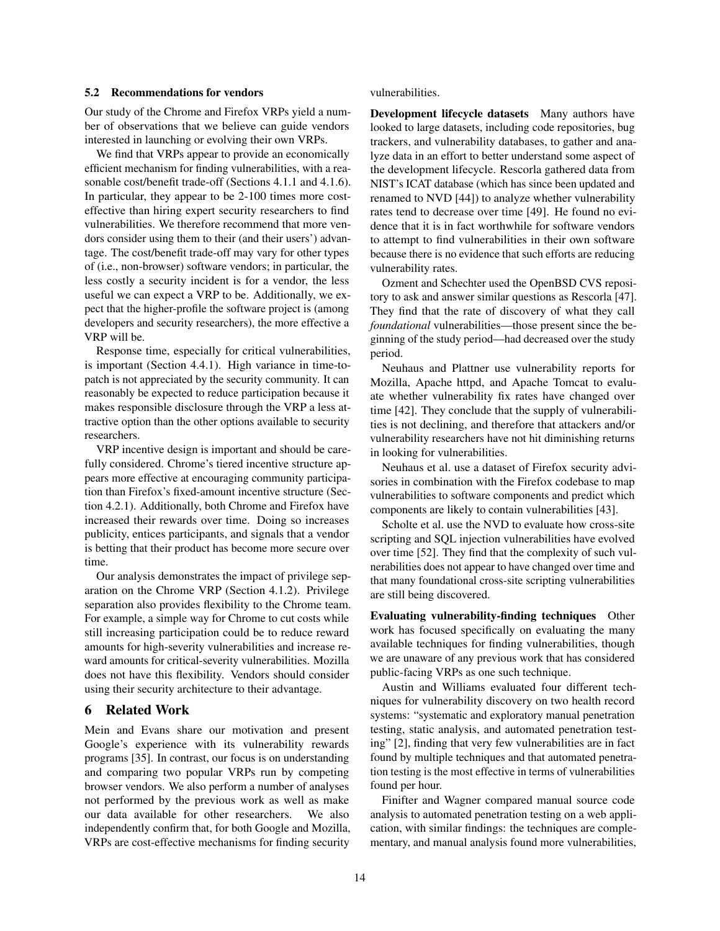#### <span id="page-13-0"></span>5.2 Recommendations for vendors

Our study of the Chrome and Firefox VRPs yield a number of observations that we believe can guide vendors interested in launching or evolving their own VRPs.

We find that VRPs appear to provide an economically efficient mechanism for finding vulnerabilities, with a reasonable cost/benefit trade-off (Sections [4.1.1](#page-4-2) and [4.1.6\)](#page-7-3). In particular, they appear to be 2-100 times more costeffective than hiring expert security researchers to find vulnerabilities. We therefore recommend that more vendors consider using them to their (and their users') advantage. The cost/benefit trade-off may vary for other types of (i.e., non-browser) software vendors; in particular, the less costly a security incident is for a vendor, the less useful we can expect a VRP to be. Additionally, we expect that the higher-profile the software project is (among developers and security researchers), the more effective a VRP will be.

Response time, especially for critical vulnerabilities, is important (Section [4.4.1\)](#page-10-2). High variance in time-topatch is not appreciated by the security community. It can reasonably be expected to reduce participation because it makes responsible disclosure through the VRP a less attractive option than the other options available to security researchers.

VRP incentive design is important and should be carefully considered. Chrome's tiered incentive structure appears more effective at encouraging community participation than Firefox's fixed-amount incentive structure (Section [4.2.1\)](#page-8-2). Additionally, both Chrome and Firefox have increased their rewards over time. Doing so increases publicity, entices participants, and signals that a vendor is betting that their product has become more secure over time.

Our analysis demonstrates the impact of privilege separation on the Chrome VRP (Section [4.1.2\)](#page-4-3). Privilege separation also provides flexibility to the Chrome team. For example, a simple way for Chrome to cut costs while still increasing participation could be to reduce reward amounts for high-severity vulnerabilities and increase reward amounts for critical-severity vulnerabilities. Mozilla does not have this flexibility. Vendors should consider using their security architecture to their advantage.

## 6 Related Work

Mein and Evans share our motivation and present Google's experience with its vulnerability rewards programs [\[35\]](#page-15-29). In contrast, our focus is on understanding and comparing two popular VRPs run by competing browser vendors. We also perform a number of analyses not performed by the previous work as well as make our data available for other researchers. We also independently confirm that, for both Google and Mozilla, VRPs are cost-effective mechanisms for finding security vulnerabilities.

Development lifecycle datasets Many authors have looked to large datasets, including code repositories, bug trackers, and vulnerability databases, to gather and analyze data in an effort to better understand some aspect of the development lifecycle. Rescorla gathered data from NIST's ICAT database (which has since been updated and renamed to NVD [\[44\]](#page-15-30)) to analyze whether vulnerability rates tend to decrease over time [\[49\]](#page-15-31). He found no evidence that it is in fact worthwhile for software vendors to attempt to find vulnerabilities in their own software because there is no evidence that such efforts are reducing vulnerability rates.

Ozment and Schechter used the OpenBSD CVS repository to ask and answer similar questions as Rescorla [\[47\]](#page-15-32). They find that the rate of discovery of what they call *foundational* vulnerabilities—those present since the beginning of the study period—had decreased over the study period.

Neuhaus and Plattner use vulnerability reports for Mozilla, Apache httpd, and Apache Tomcat to evaluate whether vulnerability fix rates have changed over time [\[42\]](#page-15-33). They conclude that the supply of vulnerabilities is not declining, and therefore that attackers and/or vulnerability researchers have not hit diminishing returns in looking for vulnerabilities.

Neuhaus et al. use a dataset of Firefox security advisories in combination with the Firefox codebase to map vulnerabilities to software components and predict which components are likely to contain vulnerabilities [\[43\]](#page-15-34).

Scholte et al. use the NVD to evaluate how cross-site scripting and SQL injection vulnerabilities have evolved over time [\[52\]](#page-15-35). They find that the complexity of such vulnerabilities does not appear to have changed over time and that many foundational cross-site scripting vulnerabilities are still being discovered.

Evaluating vulnerability-finding techniques Other work has focused specifically on evaluating the many available techniques for finding vulnerabilities, though we are unaware of any previous work that has considered public-facing VRPs as one such technique.

Austin and Williams evaluated four different techniques for vulnerability discovery on two health record systems: "systematic and exploratory manual penetration testing, static analysis, and automated penetration testing" [\[2\]](#page-14-17), finding that very few vulnerabilities are in fact found by multiple techniques and that automated penetration testing is the most effective in terms of vulnerabilities found per hour.

Finifter and Wagner compared manual source code analysis to automated penetration testing on a web application, with similar findings: the techniques are complementary, and manual analysis found more vulnerabilities,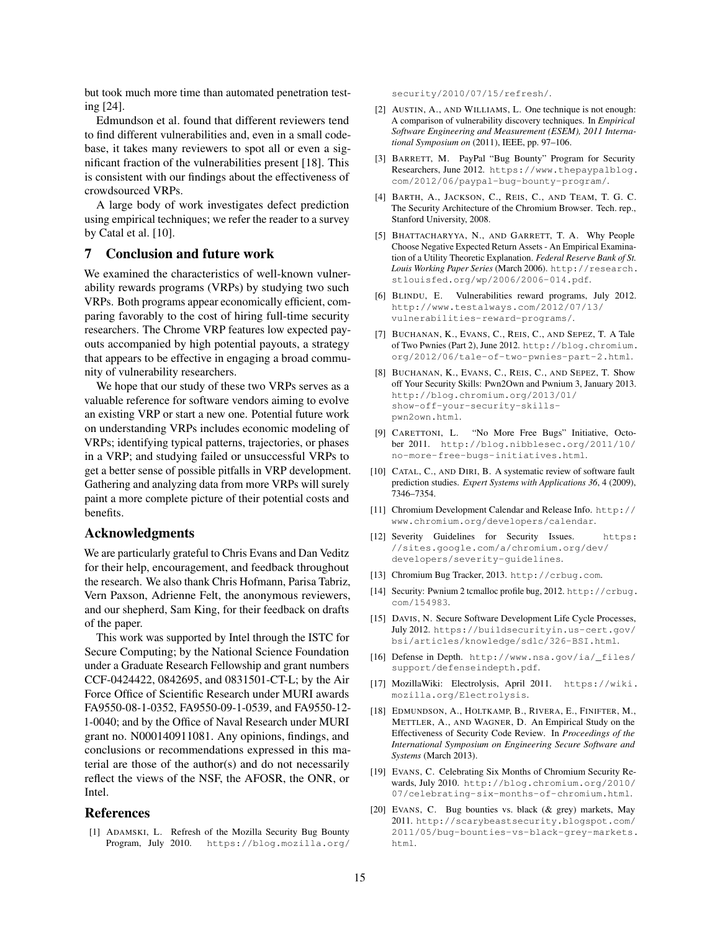but took much more time than automated penetration testing [\[24\]](#page-15-36).

Edmundson et al. found that different reviewers tend to find different vulnerabilities and, even in a small codebase, it takes many reviewers to spot all or even a significant fraction of the vulnerabilities present [\[18\]](#page-14-18). This is consistent with our findings about the effectiveness of crowdsourced VRPs.

A large body of work investigates defect prediction using empirical techniques; we refer the reader to a survey by Catal et al. [\[10\]](#page-14-19).

## 7 Conclusion and future work

We examined the characteristics of well-known vulnerability rewards programs (VRPs) by studying two such VRPs. Both programs appear economically efficient, comparing favorably to the cost of hiring full-time security researchers. The Chrome VRP features low expected payouts accompanied by high potential payouts, a strategy that appears to be effective in engaging a broad community of vulnerability researchers.

We hope that our study of these two VRPs serves as a valuable reference for software vendors aiming to evolve an existing VRP or start a new one. Potential future work on understanding VRPs includes economic modeling of VRPs; identifying typical patterns, trajectories, or phases in a VRP; and studying failed or unsuccessful VRPs to get a better sense of possible pitfalls in VRP development. Gathering and analyzing data from more VRPs will surely paint a more complete picture of their potential costs and benefits.

## Acknowledgments

We are particularly grateful to Chris Evans and Dan Veditz for their help, encouragement, and feedback throughout the research. We also thank Chris Hofmann, Parisa Tabriz, Vern Paxson, Adrienne Felt, the anonymous reviewers, and our shepherd, Sam King, for their feedback on drafts of the paper.

This work was supported by Intel through the ISTC for Secure Computing; by the National Science Foundation under a Graduate Research Fellowship and grant numbers CCF-0424422, 0842695, and 0831501-CT-L; by the Air Force Office of Scientific Research under MURI awards FA9550-08-1-0352, FA9550-09-1-0539, and FA9550-12- 1-0040; and by the Office of Naval Research under MURI grant no. N000140911081. Any opinions, findings, and conclusions or recommendations expressed in this material are those of the author(s) and do not necessarily reflect the views of the NSF, the AFOSR, the ONR, or Intel.

## **References**

<span id="page-14-0"></span>[1] ADAMSKI, L. Refresh of the Mozilla Security Bug Bounty Program, July 2010. [https://blog.mozilla.org/](https://blog.mozilla.org/security/2010/07/15/refresh/) [security/2010/07/15/refresh/](https://blog.mozilla.org/security/2010/07/15/refresh/).

- <span id="page-14-17"></span>[2] AUSTIN, A., AND WILLIAMS, L. One technique is not enough: A comparison of vulnerability discovery techniques. In *Empirical Software Engineering and Measurement (ESEM), 2011 International Symposium on* (2011), IEEE, pp. 97–106.
- <span id="page-14-2"></span>[3] BARRETT, M. PayPal "Bug Bounty" Program for Security Researchers, June 2012. [https://www.thepaypalblog.](https://www.thepaypalblog.com/2012/06/paypal-bug-bounty-program/) [com/2012/06/paypal-bug-bounty-program/](https://www.thepaypalblog.com/2012/06/paypal-bug-bounty-program/).
- <span id="page-14-12"></span>[4] BARTH, A., JACKSON, C., REIS, C., AND TEAM, T. G. C. The Security Architecture of the Chromium Browser. Tech. rep., Stanford University, 2008.
- <span id="page-14-15"></span>[5] BHATTACHARYYA, N., AND GARRETT, T. A. Why People Choose Negative Expected Return Assets - An Empirical Examination of a Utility Theoretic Explanation. *Federal Reserve Bank of St. Louis Working Paper Series* (March 2006). [http://research.](http://research.stlouisfed.org/wp/2006/2006-014.pdf) [stlouisfed.org/wp/2006/2006-014.pdf](http://research.stlouisfed.org/wp/2006/2006-014.pdf).
- <span id="page-14-6"></span>[6] BLINDU, E. Vulnerabilities reward programs, July 2012. [http://www.testalways.com/2012/07/13/](http://www.testalways.com/2012/07/13/vulnerabilities-reward-programs/) [vulnerabilities-reward-programs/](http://www.testalways.com/2012/07/13/vulnerabilities-reward-programs/).
- <span id="page-14-9"></span>[7] BUCHANAN, K., EVANS, C., REIS, C., AND SEPEZ, T. A Tale of Two Pwnies (Part 2), June 2012. [http://blog.chromium.](http://blog.chromium.org/2012/06/tale-of-two-pwnies-part-2.html) [org/2012/06/tale-of-two-pwnies-part-2.html](http://blog.chromium.org/2012/06/tale-of-two-pwnies-part-2.html).
- <span id="page-14-8"></span>[8] BUCHANAN, K., EVANS, C., REIS, C., AND SEPEZ, T. Show off Your Security Skills: Pwn2Own and Pwnium 3, January 2013. http://blog.chromium.org/2013/01/ show-off-your-security-skillspwn2own.html.
- <span id="page-14-7"></span>[9] CARETTONI, L. "No More Free Bugs" Initiative, October 2011. [http://blog.nibblesec.org/2011/10/](http://blog.nibblesec.org/2011/10/no-more-free-bugs-initiatives.html) [no-more-free-bugs-initiatives.html](http://blog.nibblesec.org/2011/10/no-more-free-bugs-initiatives.html).
- <span id="page-14-19"></span>[10] CATAL, C., AND DIRI, B. A systematic review of software fault prediction studies. *Expert Systems with Applications 36*, 4 (2009), 7346–7354.
- <span id="page-14-16"></span>[11] Chromium Development Calendar and Release Info. [http://](http://www.chromium.org/developers/calendar) [www.chromium.org/developers/calendar](http://www.chromium.org/developers/calendar).
- <span id="page-14-10"></span>[12] Severity Guidelines for Security Issues. [https:](https://sites.google.com/a/chromium.org/dev/developers/severity-guidelines) [//sites.google.com/a/chromium.org/dev/](https://sites.google.com/a/chromium.org/dev/developers/severity-guidelines) [developers/severity-guidelines](https://sites.google.com/a/chromium.org/dev/developers/severity-guidelines).
- <span id="page-14-13"></span>[13] Chromium Bug Tracker, 2013. <http://crbug.com>.
- <span id="page-14-14"></span>[14] Security: Pwnium 2 tcmalloc profile bug, 2012. [http://crbug.](http://crbug.com/154983) [com/154983](http://crbug.com/154983).
- <span id="page-14-4"></span>[15] DAVIS, N. Secure Software Development Life Cycle Processes, July 2012. [https://buildsecurityin.us-cert.gov/](https://buildsecurityin.us-cert.gov/bsi/articles/knowledge/sdlc/326-BSI.html) [bsi/articles/knowledge/sdlc/326-BSI.html](https://buildsecurityin.us-cert.gov/bsi/articles/knowledge/sdlc/326-BSI.html).
- <span id="page-14-5"></span>[16] Defense in Depth. [http://www.nsa.gov/ia/\\_files/](http://www.nsa.gov/ia/_files/support/defenseindepth.pdf) [support/defenseindepth.pdf](http://www.nsa.gov/ia/_files/support/defenseindepth.pdf).
- <span id="page-14-11"></span>[17] MozillaWiki: Electrolysis, April 2011. [https://wiki.](https://wiki.mozilla.org/Electrolysis) [mozilla.org/Electrolysis](https://wiki.mozilla.org/Electrolysis).
- <span id="page-14-18"></span>[18] EDMUNDSON, A., HOLTKAMP, B., RIVERA, E., FINIFTER, M., METTLER, A., AND WAGNER, D. An Empirical Study on the Effectiveness of Security Code Review. In *Proceedings of the International Symposium on Engineering Secure Software and Systems* (March 2013).
- <span id="page-14-1"></span>[19] EVANS, C. Celebrating Six Months of Chromium Security Rewards, July 2010. [http://blog.chromium.org/2010/](http://blog.chromium.org/2010/07/celebrating-six-months-of-chromium.html) [07/celebrating-six-months-of-chromium.html](http://blog.chromium.org/2010/07/celebrating-six-months-of-chromium.html).
- <span id="page-14-3"></span>[20] EVANS, C. Bug bounties vs. black (& grey) markets, May 2011. [http://scarybeastsecurity.blogspot.com/](http://scarybeastsecurity.blogspot.com/2011/05/bug-bounties-vs-black-grey-markets.html) [2011/05/bug-bounties-vs-black-grey-markets.](http://scarybeastsecurity.blogspot.com/2011/05/bug-bounties-vs-black-grey-markets.html) [html](http://scarybeastsecurity.blogspot.com/2011/05/bug-bounties-vs-black-grey-markets.html).